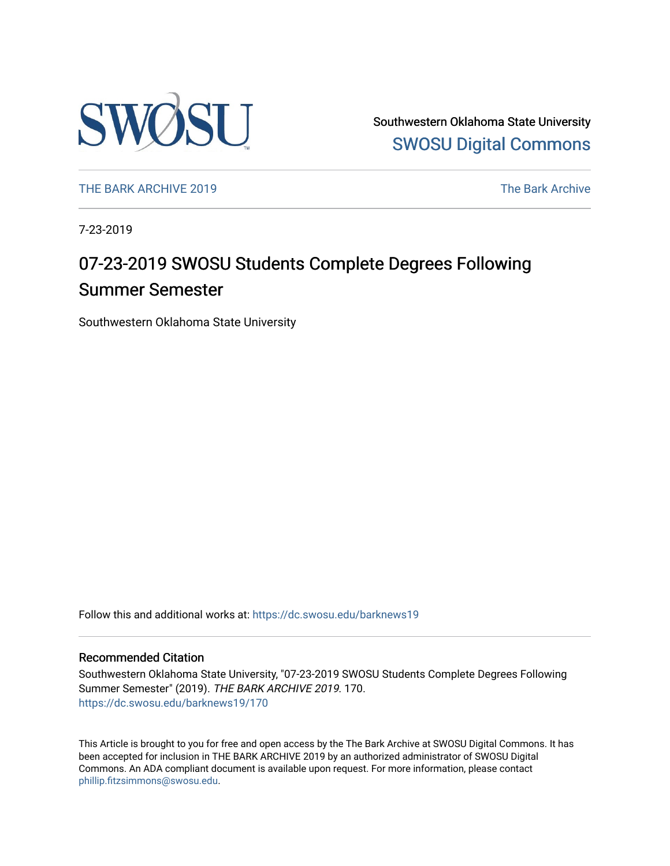

Southwestern Oklahoma State University [SWOSU Digital Commons](https://dc.swosu.edu/) 

[THE BARK ARCHIVE 2019](https://dc.swosu.edu/barknews19) The Bark Archive

7-23-2019

## 07-23-2019 SWOSU Students Complete Degrees Following Summer Semester

Southwestern Oklahoma State University

Follow this and additional works at: [https://dc.swosu.edu/barknews19](https://dc.swosu.edu/barknews19?utm_source=dc.swosu.edu%2Fbarknews19%2F170&utm_medium=PDF&utm_campaign=PDFCoverPages)

#### Recommended Citation

Southwestern Oklahoma State University, "07-23-2019 SWOSU Students Complete Degrees Following Summer Semester" (2019). THE BARK ARCHIVE 2019. 170. [https://dc.swosu.edu/barknews19/170](https://dc.swosu.edu/barknews19/170?utm_source=dc.swosu.edu%2Fbarknews19%2F170&utm_medium=PDF&utm_campaign=PDFCoverPages)

This Article is brought to you for free and open access by the The Bark Archive at SWOSU Digital Commons. It has been accepted for inclusion in THE BARK ARCHIVE 2019 by an authorized administrator of SWOSU Digital Commons. An ADA compliant document is available upon request. For more information, please contact [phillip.fitzsimmons@swosu.edu](mailto:phillip.fitzsimmons@swosu.edu).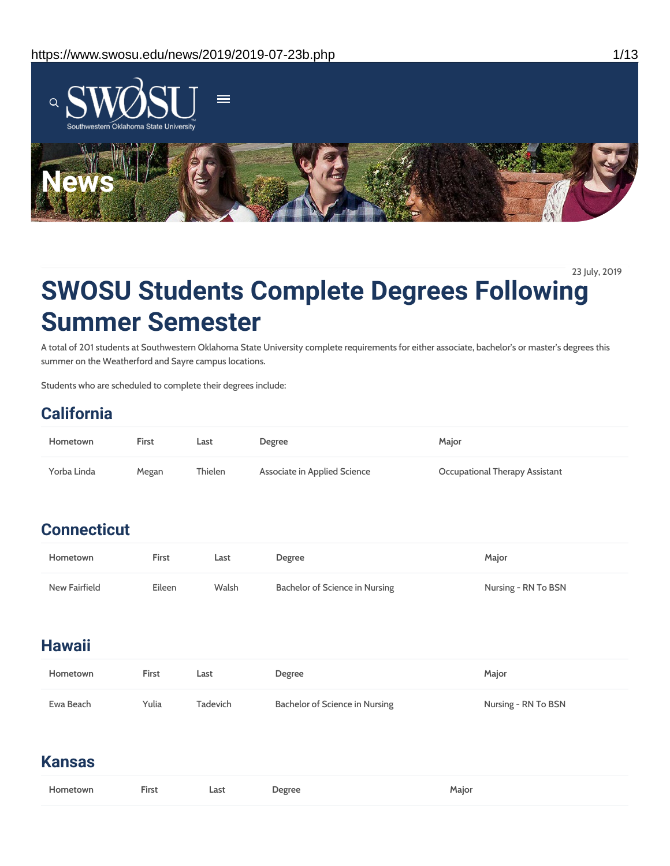

23 July, 2019

# **SWOSU Students Complete Degrees Following Summer Semester**

A total of 201 students at Southwestern Oklahoma State University complete requirements for either associate, bachelor's or master's degrees this summer on the Weatherford and Sayre campus locations.

Students who are scheduled to complete their degrees include:

## **California**

| Hometown    | First | Last    | Degree                       | Maior                          |
|-------------|-------|---------|------------------------------|--------------------------------|
| Yorba Linda | Megan | Thielen | Associate in Applied Science | Occupational Therapy Assistant |

## **Connecticut**

| Hometown      | First  | Last  | Degree                         | Maior               |
|---------------|--------|-------|--------------------------------|---------------------|
| New Fairfield | Eileen | Walsh | Bachelor of Science in Nursing | Nursing - RN To BSN |

## **Hawaii**

| Hometown  | First | Last     | Degree                         | Major               |
|-----------|-------|----------|--------------------------------|---------------------|
| Ewa Beach | Yulia | Tadevich | Bachelor of Science in Nursing | Nursing - RN To BSN |

## **Kansas**

| Hometown | <b>First</b> Last | <b>Degree</b> | Maior |
|----------|-------------------|---------------|-------|
|          |                   |               |       |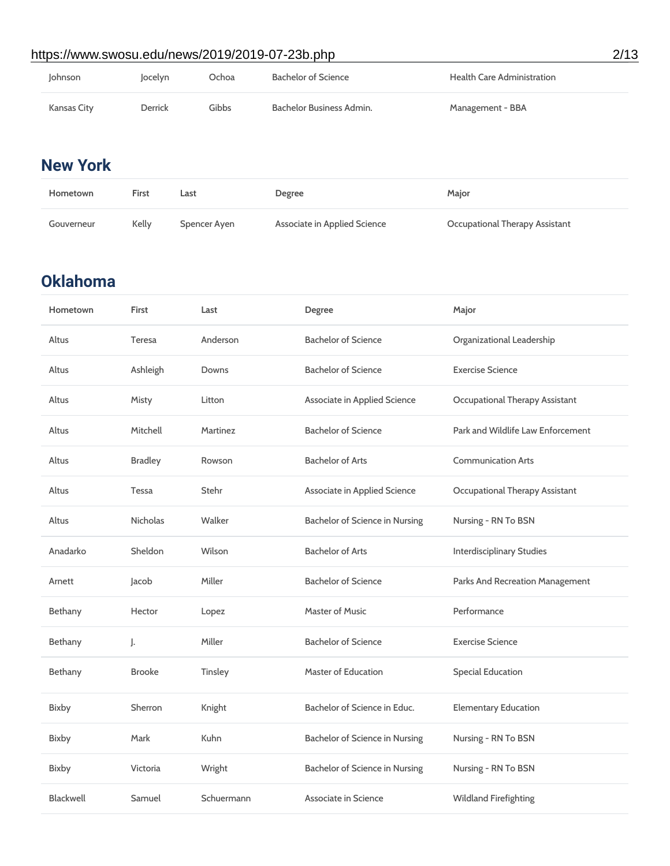### https://www.swosu.edu/news/2019/2019-07-23b.php 2/13

| Johnson     | locelyn        | Ochoa | Bachelor of Science      | <b>Health Care Administration</b> |
|-------------|----------------|-------|--------------------------|-----------------------------------|
| Kansas City | <b>Derrick</b> | Gibbs | Bachelor Business Admin. | Management - BBA                  |

## **New York**

| Hometown   | First | Last         | Degree                       | Major                          |
|------------|-------|--------------|------------------------------|--------------------------------|
| Gouverneur | Kelly | Spencer Ayen | Associate in Applied Science | Occupational Therapy Assistant |

## **Oklahoma**

| Hometown         | First           | Last       | Degree                         | Major                             |
|------------------|-----------------|------------|--------------------------------|-----------------------------------|
| Altus            | <b>Teresa</b>   | Anderson   | <b>Bachelor of Science</b>     | Organizational Leadership         |
| Altus            | Ashleigh        | Downs      | <b>Bachelor of Science</b>     | <b>Exercise Science</b>           |
| Altus            | Misty           | Litton     | Associate in Applied Science   | Occupational Therapy Assistant    |
| Altus            | Mitchell        | Martinez   | <b>Bachelor of Science</b>     | Park and Wildlife Law Enforcement |
| Altus            | <b>Bradley</b>  | Rowson     | <b>Bachelor of Arts</b>        | <b>Communication Arts</b>         |
| Altus            | <b>Tessa</b>    | Stehr      | Associate in Applied Science   | Occupational Therapy Assistant    |
| Altus            | <b>Nicholas</b> | Walker     | Bachelor of Science in Nursing | Nursing - RN To BSN               |
| Anadarko         | Sheldon         | Wilson     | <b>Bachelor of Arts</b>        | <b>Interdisciplinary Studies</b>  |
| Arnett           | Jacob           | Miller     | <b>Bachelor of Science</b>     | Parks And Recreation Management   |
| Bethany          | Hector          | Lopez      | <b>Master of Music</b>         | Performance                       |
| Bethany          | J.              | Miller     | <b>Bachelor of Science</b>     | <b>Exercise Science</b>           |
| Bethany          | <b>Brooke</b>   | Tinsley    | <b>Master of Education</b>     | <b>Special Education</b>          |
| Bixby            | Sherron         | Knight     | Bachelor of Science in Educ.   | <b>Elementary Education</b>       |
| <b>Bixby</b>     | Mark            | Kuhn       | Bachelor of Science in Nursing | Nursing - RN To BSN               |
| Bixby            | Victoria        | Wright     | Bachelor of Science in Nursing | Nursing - RN To BSN               |
| <b>Blackwell</b> | Samuel          | Schuermann | Associate in Science           | <b>Wildland Firefighting</b>      |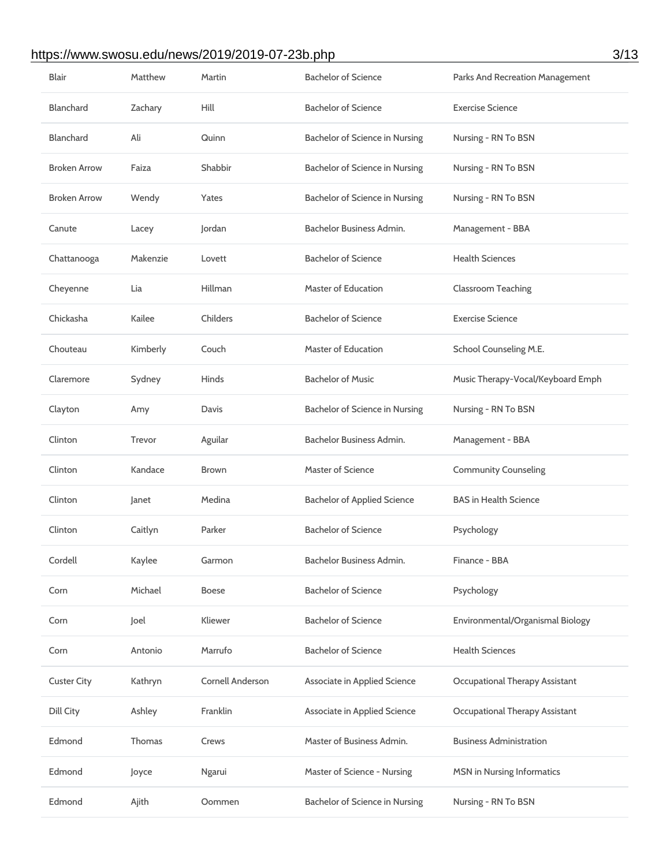### https://www.swosu.edu/news/2019/2019-07-23b.php 3/13

| Blair               | <b>Matthew</b> | Martin                  | <b>Bachelor of Science</b>         | Parks And Recreation Management       |
|---------------------|----------------|-------------------------|------------------------------------|---------------------------------------|
| <b>Blanchard</b>    | Zachary        | Hill                    | <b>Bachelor of Science</b>         | <b>Exercise Science</b>               |
| <b>Blanchard</b>    | Ali            | Quinn                   | Bachelor of Science in Nursing     | Nursing - RN To BSN                   |
| <b>Broken Arrow</b> | Faiza          | Shabbir                 | Bachelor of Science in Nursing     | Nursing - RN To BSN                   |
| <b>Broken Arrow</b> | Wendy          | Yates                   | Bachelor of Science in Nursing     | Nursing - RN To BSN                   |
| Canute              | Lacey          | Jordan                  | Bachelor Business Admin.           | Management - BBA                      |
| Chattanooga         | Makenzie       | Lovett                  | <b>Bachelor of Science</b>         | <b>Health Sciences</b>                |
| Cheyenne            | Lia            | Hillman                 | <b>Master of Education</b>         | <b>Classroom Teaching</b>             |
| Chickasha           | Kailee         | Childers                | <b>Bachelor of Science</b>         | <b>Exercise Science</b>               |
| Chouteau            | Kimberly       | Couch                   | <b>Master of Education</b>         | School Counseling M.E.                |
| Claremore           | Sydney         | Hinds                   | <b>Bachelor of Music</b>           | Music Therapy-Vocal/Keyboard Emph     |
| Clayton             | Amy            | Davis                   | Bachelor of Science in Nursing     | Nursing - RN To BSN                   |
| Clinton             | Trevor         | Aguilar                 | Bachelor Business Admin.           | Management - BBA                      |
| Clinton             | Kandace        | Brown                   | Master of Science                  | <b>Community Counseling</b>           |
| Clinton             | Janet          | Medina                  | <b>Bachelor of Applied Science</b> | <b>BAS in Health Science</b>          |
| Clinton             | Caitlyn        | Parker                  | <b>Bachelor of Science</b>         | Psychology                            |
| Cordell             | Kaylee         | Garmon                  | Bachelor Business Admin.           | Finance - BBA                         |
| Corn                | Michael        | <b>Boese</b>            | <b>Bachelor of Science</b>         | Psychology                            |
| Corn                | Joel           | Kliewer                 | <b>Bachelor of Science</b>         | Environmental/Organismal Biology      |
| Corn                | Antonio        | Marrufo                 | <b>Bachelor of Science</b>         | <b>Health Sciences</b>                |
| <b>Custer City</b>  | Kathryn        | <b>Cornell Anderson</b> | Associate in Applied Science       | <b>Occupational Therapy Assistant</b> |
| <b>Dill City</b>    | Ashley         | Franklin                | Associate in Applied Science       | Occupational Therapy Assistant        |
| Edmond              | Thomas         | Crews                   | Master of Business Admin.          | <b>Business Administration</b>        |
| Edmond              | Joyce          | Ngarui                  | Master of Science - Nursing        | <b>MSN</b> in Nursing Informatics     |
| Edmond              | Ajith          | Oommen                  | Bachelor of Science in Nursing     | Nursing - RN To BSN                   |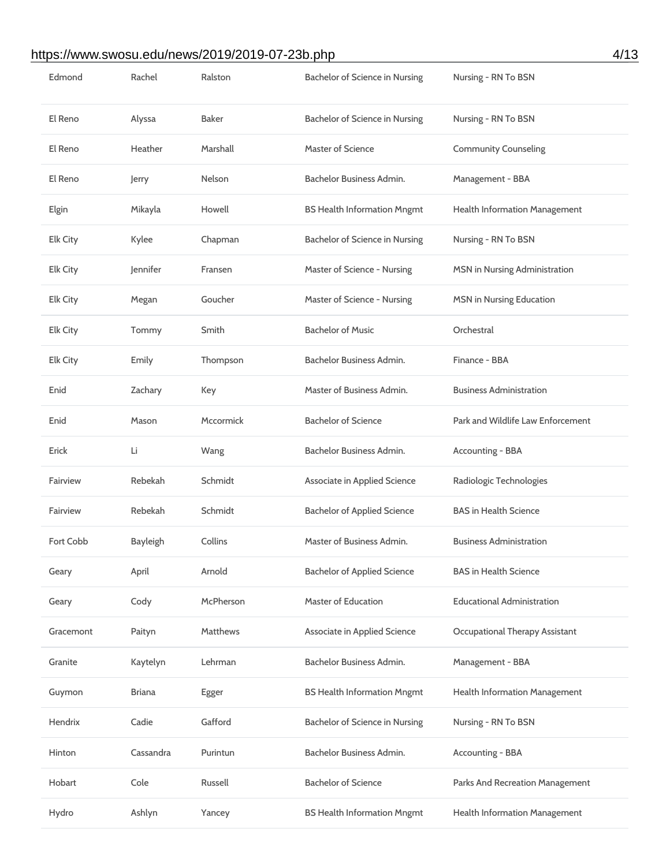### https://www.swosu.edu/news/2019/2019-07-23b.php 4/13

| Edmond          | Rachel          | Ralston          | Bachelor of Science in Nursing     | Nursing - RN To BSN                  |
|-----------------|-----------------|------------------|------------------------------------|--------------------------------------|
| El Reno         | Alyssa          | <b>Baker</b>     | Bachelor of Science in Nursing     | Nursing - RN To BSN                  |
| El Reno         | Heather         | Marshall         | <b>Master of Science</b>           | <b>Community Counseling</b>          |
| El Reno         | Jerry           | Nelson           | Bachelor Business Admin.           | Management - BBA                     |
| Elgin           | Mikayla         | Howell           | <b>BS Health Information Mngmt</b> | <b>Health Information Management</b> |
| <b>Elk City</b> | Kylee           | Chapman          | Bachelor of Science in Nursing     | Nursing - RN To BSN                  |
| <b>Elk City</b> | Jennifer        | Fransen          | Master of Science - Nursing        | MSN in Nursing Administration        |
| <b>Elk City</b> | Megan           | Goucher          | Master of Science - Nursing        | <b>MSN</b> in Nursing Education      |
| <b>Elk City</b> | Tommy           | Smith            | <b>Bachelor of Music</b>           | Orchestral                           |
| <b>Elk City</b> | Emily           | Thompson         | Bachelor Business Admin.           | Finance - BBA                        |
| Enid            | Zachary         | Key              | Master of Business Admin.          | <b>Business Administration</b>       |
| Enid            | Mason           | <b>Mccormick</b> | <b>Bachelor of Science</b>         | Park and Wildlife Law Enforcement    |
| Erick           | Li              | Wang             | Bachelor Business Admin.           | <b>Accounting - BBA</b>              |
| Fairview        | Rebekah         | Schmidt          | Associate in Applied Science       | Radiologic Technologies              |
| Fairview        | Rebekah         | Schmidt          | <b>Bachelor of Applied Science</b> | <b>BAS in Health Science</b>         |
| Fort Cobb       | <b>Bayleigh</b> | Collins          | Master of Business Admin.          | <b>Business Administration</b>       |
| Geary           | April           | Arnold           | <b>Bachelor of Applied Science</b> | <b>BAS in Health Science</b>         |
| Geary           | Cody            | McPherson        | <b>Master of Education</b>         | <b>Educational Administration</b>    |
| Gracemont       | Paityn          | <b>Matthews</b>  | Associate in Applied Science       | Occupational Therapy Assistant       |
| Granite         | Kaytelyn        | Lehrman          | Bachelor Business Admin.           | Management - BBA                     |
| Guymon          | <b>Briana</b>   | Egger            | <b>BS Health Information Mngmt</b> | <b>Health Information Management</b> |
| Hendrix         | Cadie           | Gafford          | Bachelor of Science in Nursing     | Nursing - RN To BSN                  |
| Hinton          | Cassandra       | Purintun         | Bachelor Business Admin.           | Accounting - BBA                     |
| Hobart          |                 |                  |                                    |                                      |
|                 | Cole            | Russell          | <b>Bachelor of Science</b>         | Parks And Recreation Management      |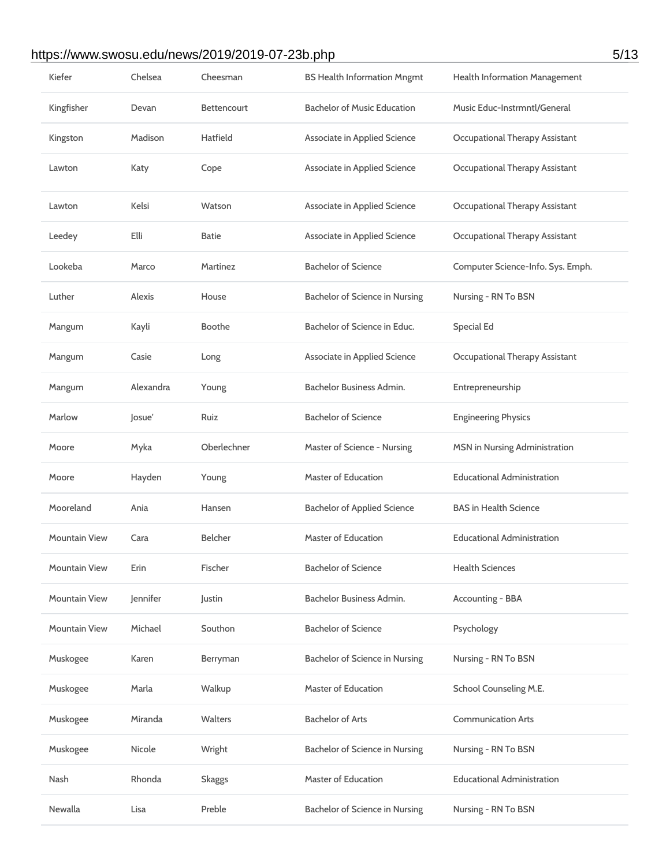### https://www.swosu.edu/news/2019/2019-07-23b.php 5/13

| Kiefer               | Chelsea   | Cheesman           | <b>BS Health Information Mngmt</b> | Health Information Management     |
|----------------------|-----------|--------------------|------------------------------------|-----------------------------------|
| Kingfisher           | Devan     | <b>Bettencourt</b> | <b>Bachelor of Music Education</b> | Music Educ-Instrmntl/General      |
| Kingston             | Madison   | Hatfield           | Associate in Applied Science       | Occupational Therapy Assistant    |
| Lawton               | Katy      | Cope               | Associate in Applied Science       | Occupational Therapy Assistant    |
| Lawton               | Kelsi     | Watson             | Associate in Applied Science       | Occupational Therapy Assistant    |
| Leedey               | Elli      | <b>Batie</b>       | Associate in Applied Science       | Occupational Therapy Assistant    |
| Lookeba              | Marco     | Martinez           | <b>Bachelor of Science</b>         | Computer Science-Info. Sys. Emph. |
| Luther               | Alexis    | House              | Bachelor of Science in Nursing     | Nursing - RN To BSN               |
| Mangum               | Kayli     | <b>Boothe</b>      | Bachelor of Science in Educ.       | <b>Special Ed</b>                 |
| Mangum               | Casie     | Long               | Associate in Applied Science       | Occupational Therapy Assistant    |
| Mangum               | Alexandra | Young              | Bachelor Business Admin.           | Entrepreneurship                  |
| Marlow               | Josue'    | Ruiz               | <b>Bachelor of Science</b>         | <b>Engineering Physics</b>        |
| Moore                | Myka      | Oberlechner        | Master of Science - Nursing        | MSN in Nursing Administration     |
| Moore                | Hayden    | Young              | <b>Master of Education</b>         | <b>Educational Administration</b> |
| Mooreland            | Ania      | Hansen             | <b>Bachelor of Applied Science</b> | <b>BAS in Health Science</b>      |
| <b>Mountain View</b> | Cara      | <b>Belcher</b>     | <b>Master of Education</b>         | <b>Educational Administration</b> |
| <b>Mountain View</b> | Erin      | Fischer            | <b>Bachelor of Science</b>         | <b>Health Sciences</b>            |
| <b>Mountain View</b> | Jennifer  | Justin             | Bachelor Business Admin.           | Accounting - BBA                  |
| <b>Mountain View</b> | Michael   | Southon            | <b>Bachelor of Science</b>         | Psychology                        |
| Muskogee             | Karen     | Berryman           | Bachelor of Science in Nursing     | Nursing - RN To BSN               |
| Muskogee             | Marla     | Walkup             | <b>Master of Education</b>         | School Counseling M.E.            |
| Muskogee             | Miranda   | Walters            | <b>Bachelor of Arts</b>            | <b>Communication Arts</b>         |
| Muskogee             | Nicole    | Wright             | Bachelor of Science in Nursing     | Nursing - RN To BSN               |
| Nash                 | Rhonda    | <b>Skaggs</b>      | <b>Master of Education</b>         | <b>Educational Administration</b> |
| Newalla              | Lisa      | Preble             | Bachelor of Science in Nursing     | Nursing - RN To BSN               |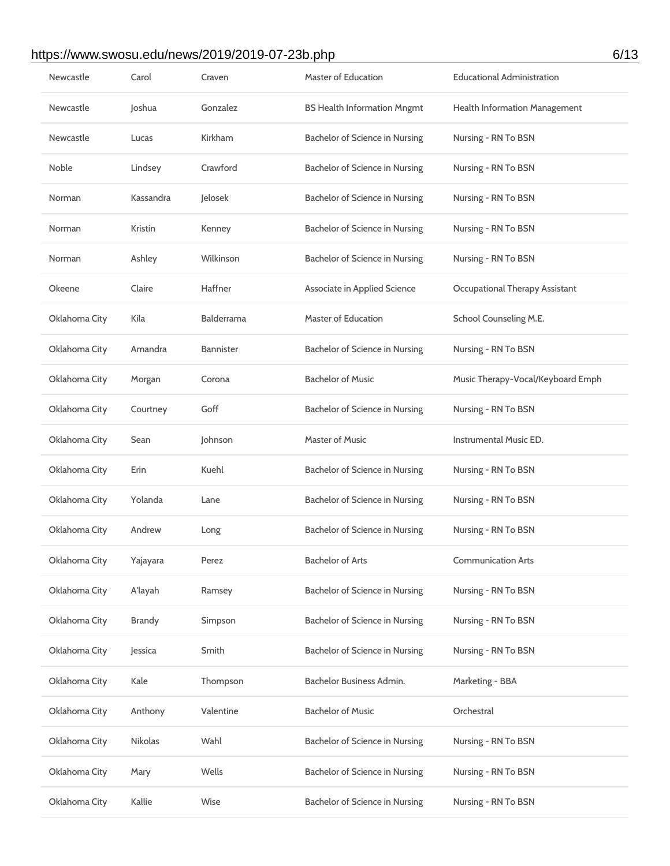### https://www.swosu.edu/news/2019/2019-07-23b.php 6/13

| Newcastle     | Carol          | Craven            | <b>Master of Education</b>         | <b>Educational Administration</b> |
|---------------|----------------|-------------------|------------------------------------|-----------------------------------|
| Newcastle     | Joshua         | Gonzalez          | <b>BS Health Information Mngmt</b> | Health Information Management     |
| Newcastle     | Lucas          | Kirkham           | Bachelor of Science in Nursing     | Nursing - RN To BSN               |
| Noble         | Lindsey        | Crawford          | Bachelor of Science in Nursing     | Nursing - RN To BSN               |
| Norman        | Kassandra      | Jelosek           | Bachelor of Science in Nursing     | Nursing - RN To BSN               |
| Norman        | Kristin        | Kenney            | Bachelor of Science in Nursing     | Nursing - RN To BSN               |
| Norman        | Ashley         | Wilkinson         | Bachelor of Science in Nursing     | Nursing - RN To BSN               |
| Okeene        | Claire         | Haffner           | Associate in Applied Science       | Occupational Therapy Assistant    |
| Oklahoma City | Kila           | <b>Balderrama</b> | <b>Master of Education</b>         | School Counseling M.E.            |
| Oklahoma City | Amandra        | <b>Bannister</b>  | Bachelor of Science in Nursing     | Nursing - RN To BSN               |
| Oklahoma City | Morgan         | Corona            | <b>Bachelor of Music</b>           | Music Therapy-Vocal/Keyboard Emph |
| Oklahoma City | Courtney       | Goff              | Bachelor of Science in Nursing     | Nursing - RN To BSN               |
| Oklahoma City | Sean           | Johnson           | <b>Master of Music</b>             | Instrumental Music ED.            |
| Oklahoma City | Erin           | Kuehl             | Bachelor of Science in Nursing     | Nursing - RN To BSN               |
| Oklahoma City | Yolanda        | Lane              | Bachelor of Science in Nursing     | Nursing - RN To BSN               |
| Oklahoma City | Andrew         | Long              | Bachelor of Science in Nursing     | Nursing - RN To BSN               |
| Oklahoma City | Yajayara       | Perez             | <b>Bachelor of Arts</b>            | <b>Communication Arts</b>         |
| Oklahoma City | A'layah        | Ramsey            | Bachelor of Science in Nursing     | Nursing - RN To BSN               |
| Oklahoma City | <b>Brandy</b>  | Simpson           | Bachelor of Science in Nursing     | Nursing - RN To BSN               |
| Oklahoma City | Jessica        | Smith             | Bachelor of Science in Nursing     | Nursing - RN To BSN               |
| Oklahoma City | Kale           | Thompson          | Bachelor Business Admin.           | Marketing - BBA                   |
| Oklahoma City | Anthony        | Valentine         | <b>Bachelor of Music</b>           | Orchestral                        |
| Oklahoma City | <b>Nikolas</b> | Wahl              | Bachelor of Science in Nursing     | Nursing - RN To BSN               |
| Oklahoma City | Mary           | Wells             | Bachelor of Science in Nursing     | Nursing - RN To BSN               |
| Oklahoma City | Kallie         | Wise              | Bachelor of Science in Nursing     | Nursing - RN To BSN               |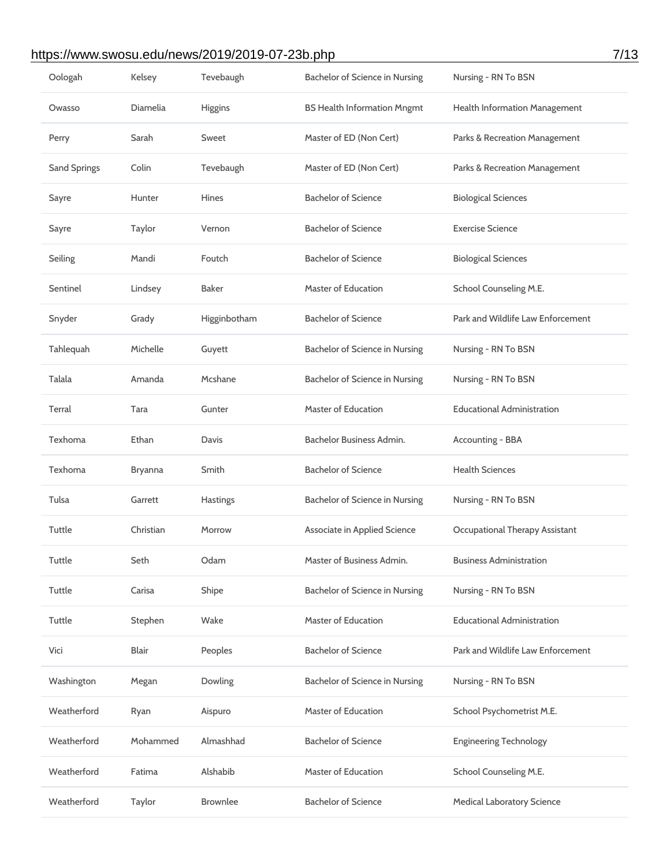## https://www.swosu.edu/news/2019/2019-07-23b.php 7/13

| Oologah             | Kelsey       | Tevebaugh       | Bachelor of Science in Nursing     | Nursing - RN To BSN                  |
|---------------------|--------------|-----------------|------------------------------------|--------------------------------------|
| Owasso              | Diamelia     | Higgins         | <b>BS Health Information Mngmt</b> | <b>Health Information Management</b> |
| Perry               | Sarah        | Sweet           | Master of ED (Non Cert)            | Parks & Recreation Management        |
| <b>Sand Springs</b> | Colin        | Tevebaugh       | Master of ED (Non Cert)            | Parks & Recreation Management        |
| Sayre               | Hunter       | <b>Hines</b>    | <b>Bachelor of Science</b>         | <b>Biological Sciences</b>           |
| Sayre               | Taylor       | Vernon          | <b>Bachelor of Science</b>         | <b>Exercise Science</b>              |
| Seiling             | Mandi        | Foutch          | <b>Bachelor of Science</b>         | <b>Biological Sciences</b>           |
| Sentinel            | Lindsey      | <b>Baker</b>    | <b>Master of Education</b>         | School Counseling M.E.               |
| Snyder              | Grady        | Higginbotham    | <b>Bachelor of Science</b>         | Park and Wildlife Law Enforcement    |
| Tahlequah           | Michelle     | Guyett          | Bachelor of Science in Nursing     | Nursing - RN To BSN                  |
| Talala              | Amanda       | Mcshane         | Bachelor of Science in Nursing     | Nursing - RN To BSN                  |
| Terral              | Tara         | Gunter          | Master of Education                | <b>Educational Administration</b>    |
| Texhoma             | Ethan        | Davis           | Bachelor Business Admin.           | Accounting - BBA                     |
| Texhoma             | Bryanna      | Smith           | <b>Bachelor of Science</b>         | <b>Health Sciences</b>               |
| Tulsa               | Garrett      | Hastings        | Bachelor of Science in Nursing     | Nursing - RN To BSN                  |
| Tuttle              | Christian    | Morrow          | Associate in Applied Science       | Occupational Therapy Assistant       |
| <b>Tuttle</b>       | Seth         | Odam            | Master of Business Admin.          | <b>Business Administration</b>       |
| Tuttle              | Carisa       | Shipe           | Bachelor of Science in Nursing     | Nursing - RN To BSN                  |
| Tuttle              | Stephen      | Wake            | <b>Master of Education</b>         | <b>Educational Administration</b>    |
| Vici                | <b>Blair</b> | Peoples         | <b>Bachelor of Science</b>         | Park and Wildlife Law Enforcement    |
| Washington          | Megan        | Dowling         | Bachelor of Science in Nursing     | Nursing - RN To BSN                  |
| Weatherford         | Ryan         | Aispuro         | <b>Master of Education</b>         | School Psychometrist M.E.            |
| Weatherford         | Mohammed     | Almashhad       | <b>Bachelor of Science</b>         | <b>Engineering Technology</b>        |
| Weatherford         | Fatima       | Alshabib        | <b>Master of Education</b>         | School Counseling M.E.               |
| Weatherford         | Taylor       | <b>Brownlee</b> | <b>Bachelor of Science</b>         | <b>Medical Laboratory Science</b>    |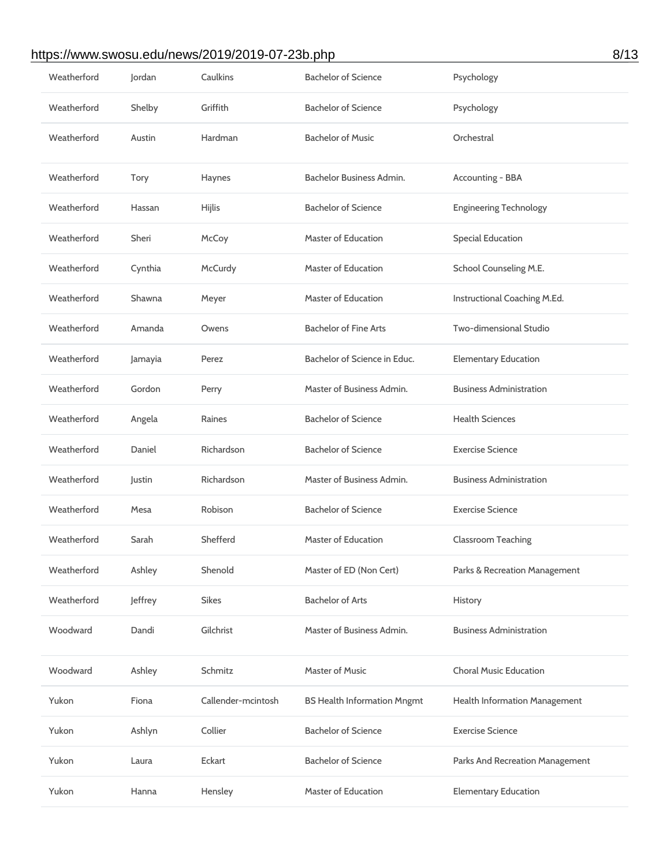### https://www.swosu.edu/news/2019/2019-07-23b.php 8/13

| Weatherford | Jordan  | Caulkins           | <b>Bachelor of Science</b>         | Psychology                      |
|-------------|---------|--------------------|------------------------------------|---------------------------------|
| Weatherford | Shelby  | Griffith           | <b>Bachelor of Science</b>         | Psychology                      |
| Weatherford | Austin  | Hardman            | <b>Bachelor of Music</b>           | Orchestral                      |
| Weatherford | Tory    | Haynes             | Bachelor Business Admin.           | Accounting - BBA                |
| Weatherford | Hassan  | Hijlis             | <b>Bachelor of Science</b>         | <b>Engineering Technology</b>   |
| Weatherford | Sheri   | McCoy              | <b>Master of Education</b>         | <b>Special Education</b>        |
| Weatherford | Cynthia | McCurdy            | <b>Master of Education</b>         | School Counseling M.E.          |
| Weatherford | Shawna  | Meyer              | Master of Education                | Instructional Coaching M.Ed.    |
| Weatherford | Amanda  | Owens              | <b>Bachelor of Fine Arts</b>       | Two-dimensional Studio          |
| Weatherford | Jamayia | Perez              | Bachelor of Science in Educ.       | <b>Elementary Education</b>     |
| Weatherford | Gordon  | Perry              | Master of Business Admin.          | <b>Business Administration</b>  |
| Weatherford | Angela  | Raines             | <b>Bachelor of Science</b>         | <b>Health Sciences</b>          |
| Weatherford | Daniel  | Richardson         | <b>Bachelor of Science</b>         | <b>Exercise Science</b>         |
| Weatherford | Justin  | Richardson         | Master of Business Admin.          | <b>Business Administration</b>  |
| Weatherford | Mesa    | Robison            | <b>Bachelor of Science</b>         | <b>Exercise Science</b>         |
| Weatherford | Sarah   |                    |                                    |                                 |
|             |         | Shefferd           | Master of Education                | <b>Classroom Teaching</b>       |
| Weatherford | Ashley  | Shenold            | Master of ED (Non Cert)            | Parks & Recreation Management   |
| Weatherford | Jeffrey | <b>Sikes</b>       | <b>Bachelor of Arts</b>            | History                         |
| Woodward    | Dandi   | Gilchrist          | Master of Business Admin.          | <b>Business Administration</b>  |
| Woodward    | Ashley  | Schmitz            | <b>Master of Music</b>             | <b>Choral Music Education</b>   |
| Yukon       | Fiona   | Callender-mcintosh | <b>BS Health Information Mngmt</b> | Health Information Management   |
| Yukon       | Ashlyn  | Collier            | <b>Bachelor of Science</b>         | <b>Exercise Science</b>         |
| Yukon       | Laura   | Eckart             | <b>Bachelor of Science</b>         | Parks And Recreation Management |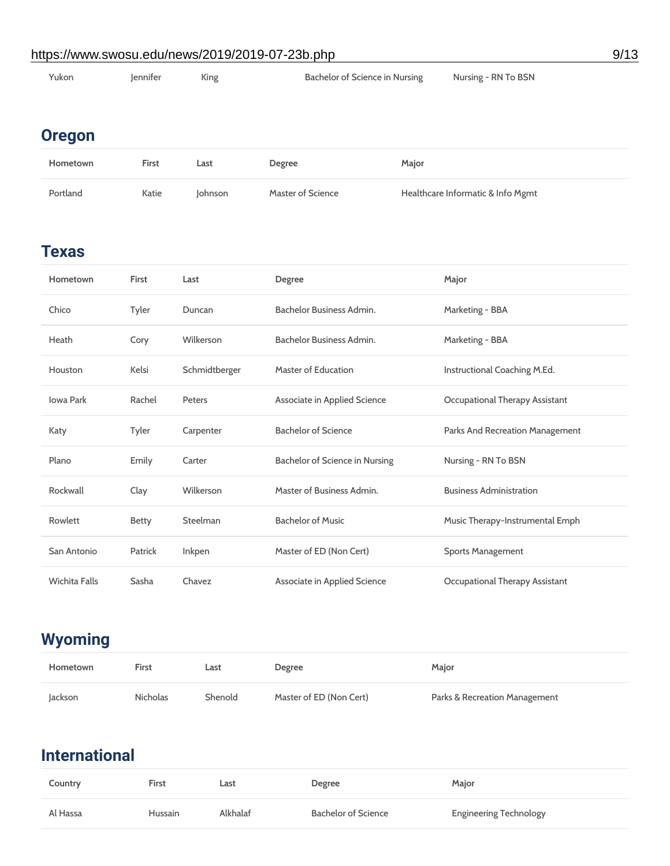### https://www.swosu.edu/news/2019/2019-07-23b.php 9/13

| Yukon | lennifer | King | Bachelor of Science in Nursing | Nursing - RN To BSN |
|-------|----------|------|--------------------------------|---------------------|
|       |          |      |                                |                     |

## **Oregon**

| Hometown | <b>First</b> | Last           | Degree            | Major                             |
|----------|--------------|----------------|-------------------|-----------------------------------|
| Portland | Katie        | <b>lohnson</b> | Master of Science | Healthcare Informatic & Info Mgmt |

### **Texas**

| Hometown             | <b>First</b> | Last          | Degree                         | Major                           |
|----------------------|--------------|---------------|--------------------------------|---------------------------------|
| Chico                | Tyler        | Duncan        | Bachelor Business Admin.       | Marketing - BBA                 |
| Heath                | Cory         | Wilkerson     | Bachelor Business Admin.       | Marketing - BBA                 |
| Houston              | Kelsi        | Schmidtberger | <b>Master of Education</b>     | Instructional Coaching M.Ed.    |
| <b>Iowa Park</b>     | Rachel       | Peters        | Associate in Applied Science   | Occupational Therapy Assistant  |
| Katy                 | Tyler        | Carpenter     | <b>Bachelor of Science</b>     | Parks And Recreation Management |
| Plano                | Emily        | Carter        | Bachelor of Science in Nursing | Nursing - RN To BSN             |
| Rockwall             | Clay         | Wilkerson     | Master of Business Admin.      | <b>Business Administration</b>  |
| Rowlett              | <b>Betty</b> | Steelman      | <b>Bachelor of Music</b>       | Music Therapy-Instrumental Emph |
| San Antonio          | Patrick      | Inkpen        | Master of ED (Non Cert)        | <b>Sports Management</b>        |
| <b>Wichita Falls</b> | Sasha        | Chavez        | Associate in Applied Science   | Occupational Therapy Assistant  |

## **Wyoming**

| Hometown | First           | Last    | Degree                  | Major                         |
|----------|-----------------|---------|-------------------------|-------------------------------|
| Jackson  | <b>Nicholas</b> | Shenold | Master of ED (Non Cert) | Parks & Recreation Management |

## **International**

| Country  | <b>First</b> | Last     | <b>Degree</b>       | Major                         |
|----------|--------------|----------|---------------------|-------------------------------|
| Al Hassa | Hussain      | Alkhalaf | Bachelor of Science | <b>Engineering Technology</b> |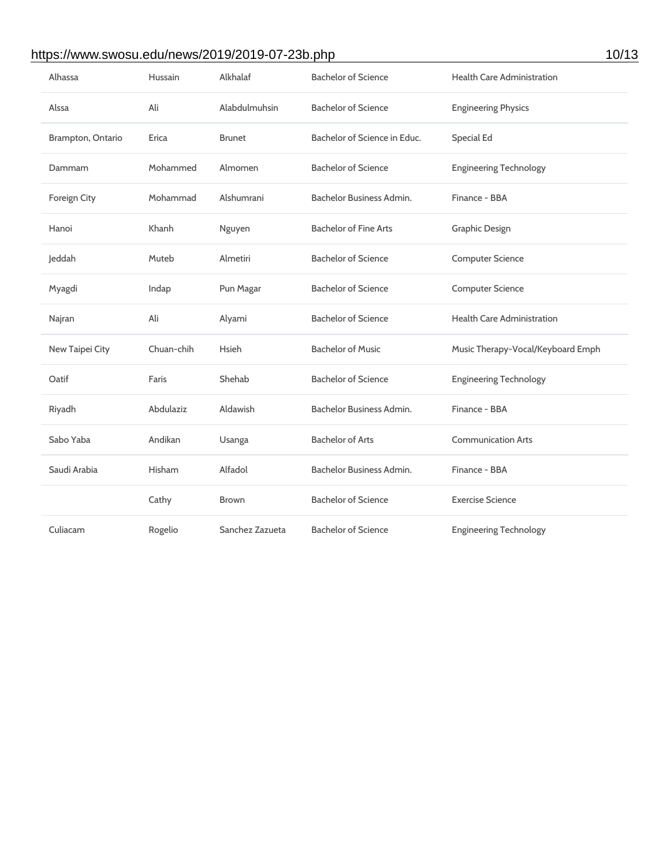### https://www.swosu.edu/news/2019/2019-07-23b.php 10/13

| Alhassa           | <b>Hussain</b> | Alkhalaf        | <b>Bachelor of Science</b>   | <b>Health Care Administration</b> |  |
|-------------------|----------------|-----------------|------------------------------|-----------------------------------|--|
| Alssa             | Ali            | Alabdulmuhsin   | <b>Bachelor of Science</b>   | <b>Engineering Physics</b>        |  |
| Brampton, Ontario | Erica          | <b>Brunet</b>   | Bachelor of Science in Educ. | <b>Special Ed</b>                 |  |
| Dammam            | Mohammed       | Almomen         | <b>Bachelor of Science</b>   | <b>Engineering Technology</b>     |  |
| Foreign City      | Mohammad       | Alshumrani      | Bachelor Business Admin.     | Finance - BBA                     |  |
| Hanoi             | Khanh          | Nguyen          | <b>Bachelor of Fine Arts</b> | <b>Graphic Design</b>             |  |
| Jeddah            | Muteb          | Almetiri        | <b>Bachelor of Science</b>   | <b>Computer Science</b>           |  |
| Myagdi            | Indap          | Pun Magar       | <b>Bachelor of Science</b>   | <b>Computer Science</b>           |  |
| Najran            | Ali            | Alyami          | <b>Bachelor of Science</b>   | <b>Health Care Administration</b> |  |
| New Taipei City   | Chuan-chih     | Hsieh           | <b>Bachelor of Music</b>     | Music Therapy-Vocal/Keyboard Emph |  |
| Oatif             | Faris          | Shehab          | <b>Bachelor of Science</b>   | <b>Engineering Technology</b>     |  |
| Riyadh            | Abdulaziz      | Aldawish        | Bachelor Business Admin.     | Finance - BBA                     |  |
| Sabo Yaba         | Andikan        | Usanga          | <b>Bachelor of Arts</b>      | <b>Communication Arts</b>         |  |
| Saudi Arabia      | Hisham         | Alfadol         | Bachelor Business Admin.     | Finance - BBA                     |  |
|                   | Cathy          | <b>Brown</b>    | <b>Bachelor of Science</b>   | <b>Exercise Science</b>           |  |
| Culiacam          | Rogelio        | Sanchez Zazueta | <b>Bachelor of Science</b>   | <b>Engineering Technology</b>     |  |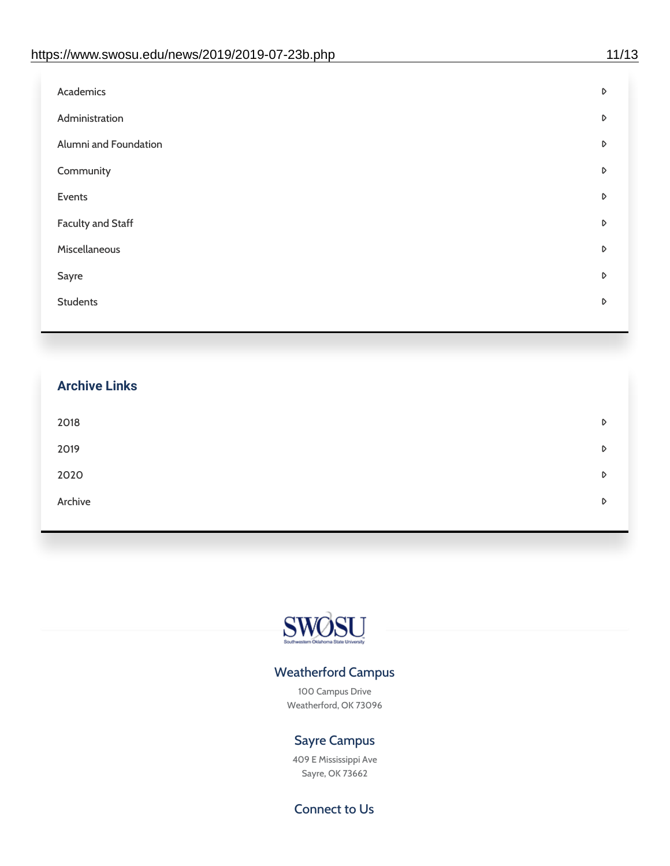| Academics                | D |
|--------------------------|---|
| Administration           | D |
| Alumni and Foundation    | D |
| Community                | D |
| Events                   | D |
| <b>Faculty and Staff</b> | D |
| Miscellaneous            | D |
| Sayre                    | D |
| <b>Students</b>          | D |
|                          |   |

## **Archive Links**  $2018$  $2019$ [2020](https://www.swosu.edu/news/2020/index.php)  $\bullet$ [Archive](https://dc.swosu.edu/bark/) **Archive Archive Archive Archive Archive** Archive Archive Archive Archive Archive Archive Archive Archive



#### Weatherford Campus

100 Campus Drive Weatherford, OK 73096

#### Sayre Campus

409 E Mississippi Ave Sayre, OK 73662

Connect to Us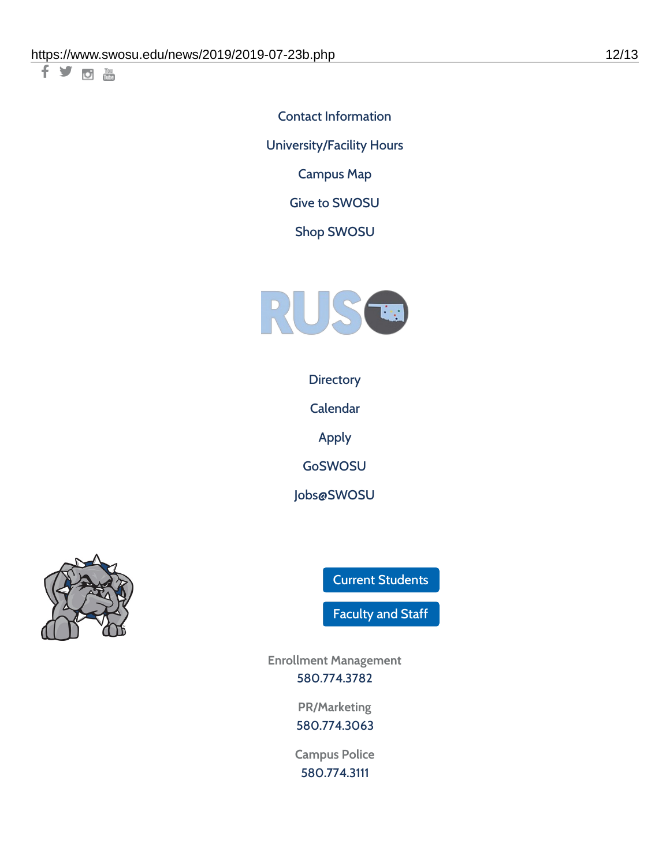十岁回调

Contact [Information](https://www.swosu.edu/about/contact.php) [University/Facility](https://www.swosu.edu/about/operating-hours.php) Hours [Campus](https://map.concept3d.com/?id=768#!ct/10964,10214,10213,10212,10205,10204,10203,10202,10136,10129,10128,0,31226,10130,10201,10641,0) Map

Give to [SWOSU](https://standingfirmly.com/donate)

Shop [SWOSU](https://shopswosu.merchorders.com/)



**[Directory](https://www.swosu.edu/directory/index.php)** 

[Calendar](https://eventpublisher.dudesolutions.com/swosu/)

[Apply](https://www.swosu.edu/admissions/apply-to-swosu.php)

[GoSWOSU](https://qlsso.quicklaunchsso.com/home/1267)

[Jobs@SWOSU](https://swosu.csod.com/ux/ats/careersite/1/home?c=swosu)



Current [Students](https://bulldog.swosu.edu/index.php)

[Faculty](https://bulldog.swosu.edu/faculty-staff/index.php) and Staff

**Enrollment Management** [580.774.3782](tel:5807743782)

> **PR/Marketing** [580.774.3063](tel:5807743063)

**Campus Police** [580.774.3111](tel:5807743111)